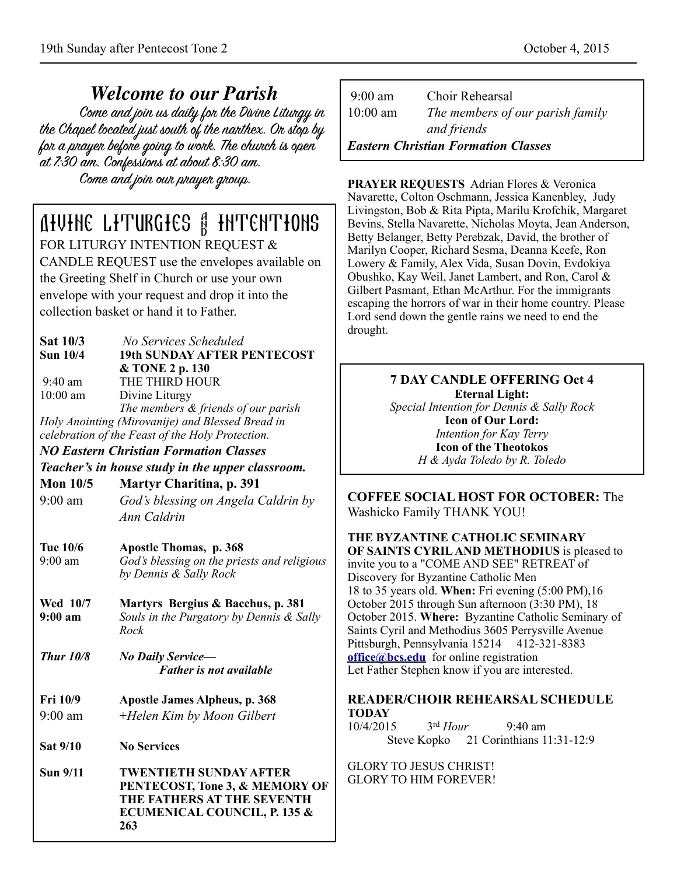*Welcome to our Parish* the Chapel located just south of the nanthex. On stop by for a prayer before going to work. The church is open at 7:30 am. Confessions at about 8:30 am. Come and join our prayer group.

# Divine Liturgies & Intentions

FOR LITURGY INTENTION REQUEST & CANDLE REQUEST use the envelopes available on the Greeting Shelf in Church or use your own envelope with your request and drop it into the collection basket or hand it to Father.

| <b>Sat 10/3</b><br><b>Sun 10/4</b>               | No Services Scheduled<br><b>19th SUNDAY AFTER PENTECOST</b><br>& TONE 2 p. 130                                                              |  |
|--------------------------------------------------|---------------------------------------------------------------------------------------------------------------------------------------------|--|
| $9:40$ am                                        | THE THIRD HOUR                                                                                                                              |  |
| 10:00 am                                         | Divine Liturgy                                                                                                                              |  |
|                                                  | The members & friends of our parish<br>Holy Anointing (Mirovanije) and Blessed Bread in<br>celebration of the Feast of the Holy Protection. |  |
|                                                  | <b>NO Eastern Christian Formation Classes</b>                                                                                               |  |
| Teacher's in house study in the upper classroom. |                                                                                                                                             |  |
| Mon $10/5$                                       | <b>Martyr Charitina, p. 391</b>                                                                                                             |  |
| $9:00$ am                                        | God's blessing on Angela Caldrin by                                                                                                         |  |
|                                                  | Ann Caldrin                                                                                                                                 |  |
| <b>Tue 10/6</b>                                  | <b>Apostle Thomas, p. 368</b>                                                                                                               |  |
| $9:00$ am                                        | God's blessing on the priests and religious                                                                                                 |  |
|                                                  | by Dennis & Sally Rock                                                                                                                      |  |
| Wed 10/7<br>$9:00 \text{ am}$                    | Martyrs Bergius & Bacchus, p. 381<br>Souls in the Purgatory by Dennis & Sally<br>Rock                                                       |  |
| <b>Thur 10/8</b>                                 | <b>No Daily Service-</b><br><b>Father is not available</b>                                                                                  |  |
| <b>Fri 10/9</b>                                  | <b>Apostle James Alpheus, p. 368</b>                                                                                                        |  |
| $9:00$ am                                        | +Helen Kim by Moon Gilbert                                                                                                                  |  |
| Sat 9/10                                         | <b>No Services</b>                                                                                                                          |  |
| <b>Sun 9/11</b>                                  | <b>TWENTIETH SUNDAY AFTER</b><br>PENTECOST, Tone 3, & MEMORY OF<br>THE FATHERS AT THE SEVENTH<br>ECUMENICAL COUNCIL, P. 135 &<br>263        |  |

| $9:00 \text{ am}$                          | Choir Rehearsal                  |
|--------------------------------------------|----------------------------------|
| $10:00 \text{ am}$                         | The members of our parish family |
|                                            | and friends                      |
| <b>Eastern Christian Formation Classes</b> |                                  |

**PRAYER REQUESTS** Adrian Flores & Veronica Navarette, Colton Oschmann, Jessica Kanenbley, Judy Livingston, Bob & Rita Pipta, Marilu Krofchik, Margaret Bevins, Stella Navarette, Nicholas Moyta, Jean Anderson, Betty Belanger, Betty Perebzak, David, the brother of Marilyn Cooper, Richard Sesma, Deanna Keefe, Ron Lowery & Family, Alex Vida, Susan Dovin, Evdokiya Obushko, Kay Weil, Janet Lambert, and Ron, Carol & Gilbert Pasmant, Ethan McArthur. For the immigrants escaping the horrors of war in their home country. Please Lord send down the gentle rains we need to end the drought.

**7 DAY CANDLE OFFERING Oct 4 Eternal Light:**  *Special Intention for Dennis & Sally Rock*  **Icon of Our Lord:**  *Intention for Kay Terry*  **Icon of the Theotokos**  *H & Ayda Toledo by R. Toledo*

**COFFEE SOCIAL HOST FOR OCTOBER:** The Washicko Family THANK YOU!

**THE BYZANTINE CATHOLIC SEMINARY OF SAINTS CYRIL AND METHODIUS** is pleased to invite you to a "COME AND SEE" RETREAT of Discovery for Byzantine Catholic Men 18 to 35 years old. **When:** Fri evening (5:00 PM),16 October 2015 through Sun afternoon (3:30 PM), 18 October 2015. **Where:** Byzantine Catholic Seminary of Saints Cyril and Methodius 3605 Perrysville Avenue Pittsburgh, Pennsylvania 15214 412-321-8383 **[office@bcs.edu](mailto:office@bcs.edu)** for online registration Let Father Stephen know if you are interested.

#### **READER/CHOIR REHEARSAL SCHEDULE TODAY**

10/4/2015 3rd *Hour* 9:40 am Steve Kopko 21 Corinthians 11:31-12:9

GLORY TO JESUS CHRIST! GLORY TO HIM FOREVER!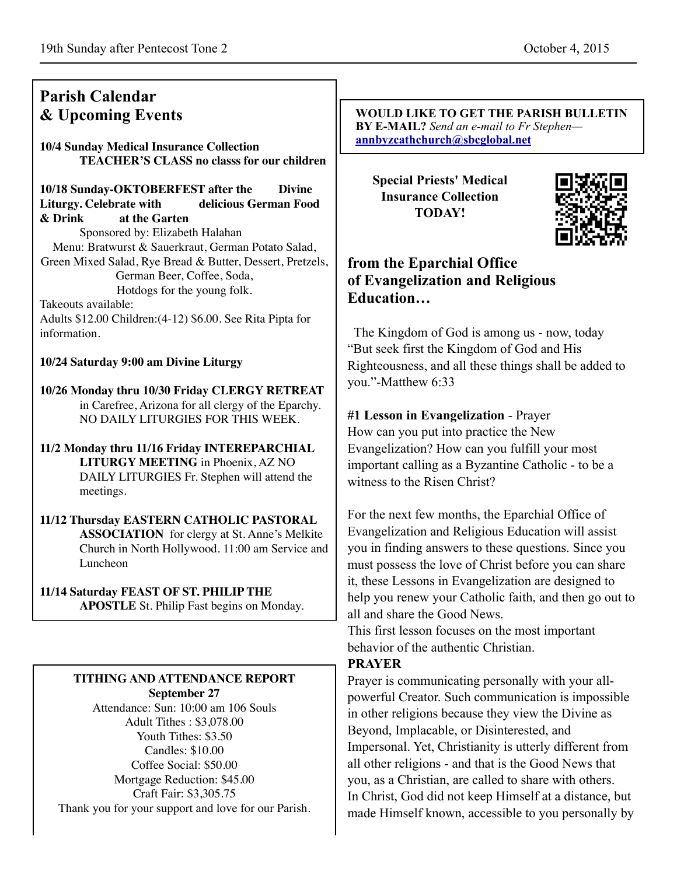# **Parish Calendar & Upcoming Events**

**10/4 Sunday Medical Insurance Collection TEACHER'S CLASS no classs for our children** 

**10/18 Sunday-OKTOBERFEST after the Divine Liturgy. Celebrate with delicious German Food & Drink at the Garten** Sponsored by: Elizabeth Halahan Menu: Bratwurst & Sauerkraut, German Potato Salad, Green Mixed Salad, Rye Bread & Butter, Dessert, Pretzels, German Beer, Coffee, Soda, Hotdogs for the young folk. Takeouts available:

Adults \$12.00 Children:(4-12) \$6.00. See Rita Pipta for information.

#### **10/24 Saturday 9:00 am Divine Liturgy**

**10/26 Monday thru 10/30 Friday CLERGY RETREAT** in Carefree, Arizona for all clergy of the Eparchy. NO DAILY LITURGIES FOR THIS WEEK.

**11/2 Monday thru 11/16 Friday INTEREPARCHIAL LITURGY MEETING** in Phoenix, AZ NO DAILY LITURGIES Fr. Stephen will attend the meetings.

**11/12 Thursday EASTERN CATHOLIC PASTORAL ASSOCIATION** for clergy at St. Anne's Melkite Church in North Hollywood. 11:00 am Service and Luncheon

#### **11/14 Saturday FEAST OF ST. PHILIP THE**

**APOSTLE** St. Philip Fast begins on Monday.

# **TITHING AND ATTENDANCE REPORT**

**September 27** Attendance: Sun: 10:00 am 106 Souls Adult Tithes : \$3,078.00 Youth Tithes: \$3.50 Candles: \$10.00 Coffee Social: \$50.00 Mortgage Reduction: \$45.00 Craft Fair: \$3,305.75 Thank you for your support and love for our Parish.

**WOULD LIKE TO GET THE PARISH BULLETIN BY E-MAIL?** *Send an e-mail to Fr Stephen* **[annbyzcathchurch@sbcglobal.net](mailto:annbyzcathchurch@sbcglobal.net)**

**Special Priests' Medical Insurance Collection TODAY!**



## **from the Eparchial Office of Evangelization and Religious Education…**

 The Kingdom of God is among us - now, today "But seek first the Kingdom of God and His Righteousness, and all these things shall be added to you."-Matthew 6:33

**#1 Lesson in Evangelization** - Prayer

How can you put into practice the New Evangelization? How can you fulfill your most important calling as a Byzantine Catholic - to be a witness to the Risen Christ?

For the next few months, the Eparchial Office of Evangelization and Religious Education will assist you in finding answers to these questions. Since you must possess the love of Christ before you can share it, these Lessons in Evangelization are designed to help you renew your Catholic faith, and then go out to all and share the Good News.

This first lesson focuses on the most important behavior of the authentic Christian.

### **PRAYER**

Prayer is communicating personally with your allpowerful Creator. Such communication is impossible in other religions because they view the Divine as Beyond, Implacable, or Disinterested, and Impersonal. Yet, Christianity is utterly different from all other religions - and that is the Good News that you, as a Christian, are called to share with others. In Christ, God did not keep Himself at a distance, but made Himself known, accessible to you personally by